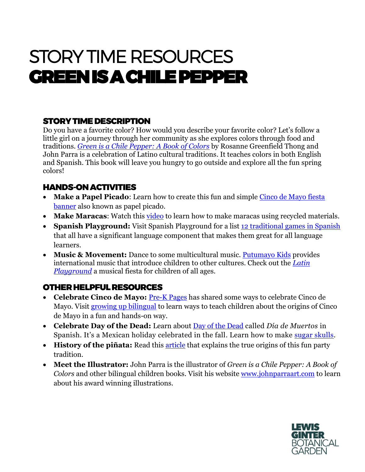# STORY TIME RESOURCES GREEN IS A CHILE PEPPER

## STORY TIME DESCRIPTION

Do you have a favorite color? How would you describe your favorite color? Let's follow a little girl on a journey through her community as she explores colors through food and traditions. *[Green is a Chile Pepper: A Book of Colors](http://readinginaction.org/bookcast/green-chile-pepper)* by Rosanne Greenfield Thong and John Parra is a celebration of Latino cultural traditions. It teaches colors in both English and Spanish. This book will leave you hungry to go outside and explore all the fun spring colors!

## HANDS-ON ACTIVITIES

- **Make a Papel Picado**: Learn how to create this fun and simple [Cinco de Mayo fiesta](https://thecraftingchicks.com/diy-cinco-de-mayo-fiesta-banner/)  [banner](https://thecraftingchicks.com/diy-cinco-de-mayo-fiesta-banner/) also known as papel picado.
- **Make Maracas**: Watch this [video](https://www.google.com/search?q=making+maracas+at+home&rlz=1C1GCEU_enUS869US869&biw=1307&bih=640&ei=FPJtYIbCD6ut5NoP_5-bmA4&oq=makinh+mara&gs_lcp=Cgdnd3Mtd2l6EAEYAjIECAAQDTIECAAQDTIECAAQDTIECAAQDTIGCAAQDRAKMgYIABANEAoyBAgAEA0yBAgAEA0yBAgAEA0yBAgAEA06BwgAEEcQsAM6BggAEBYQHjoFCAAQhgM6AggAOgUIABDJAzoFCAAQsQM6BQgAEJIDOggIABCxAxCDAToOCC4QsQMQxwEQowIQkwI6CAguEMcBEK8BOgQIABBDOgsILhCxAxDHARCjAjoLCAAQsQMQgwEQyQM6BQgAEJECOggIABDqAhCPAToKCC4QxwEQowIQQzoOCC4QsQMQgwEQxwEQowI6CAguELEDEIMBOgcILhBDEJMCOgUILhCRAjoECC4QQzoFCC4QsQM6BwgAELEDEEM6BwguELEDEEM6BAgAEAo6BwguELEDEAo6BAguEAo6CgguEMcBEK8BEAo6BwgAELEDEAo6CgguEMcBEK8BEA1QmnNYx9oBYImKAmgCcAJ4AIABwQGIAeAekgEFMzMuMTGYAQCgAQGqAQdnd3Mtd2l6sAEKyAEIwAEB&sclient=gws-wiz#kpvalbx=_mvJtYMigFJjl5NoPtbOb0Ao12) to learn how to make maracas using recycled materials.
- **Spanish Playground:** Visit Spanish Playground for a list [12 traditional games in Spanish](https://www.spanishplayground.net/12-traditional-games-spanish/) that all have a significant language component that makes them great for all language learners.
- **Music & Movement:** Dance to some multicultural music. **Putumayo Kids** provides international music that introduce children to other cultures. Check out the *[Latin](https://www.putumayo.com/latin-playground)  [Playground](https://www.putumayo.com/latin-playground)* a musical fiesta for children of all ages.

## OTHER HELPFUL RESOURCES

- **Celebrate Cinco de Mayo:** [Pre-K Pages](https://www.pre-kpages.com/cinco-de-mayo-activities/) has shared some ways to celebrate Cinco de Mayo. Visit [growing up bilingual](https://growingupbilingual.com/teaching-kids-about-cinco-de-mayo/) to learn ways to teach children about the origins of Cinco de Mayo in a fun and hands-on way.
- **Celebrate Day of the Dead:** Learn about [Day of the Dead](https://www.art-is-fun.com/day-of-the-dead-art) called *Día de Muertos* in Spanish. It's a Mexican holiday celebrated in the fall. Learn how to make [sugar skulls.](https://www.art-is-fun.com/day-of-the-dead-art)
- **History of the piñata:** Read this [article](https://www.mexconnect.com/articles/459-history-of-the-pinata/) that explains the true origins of this fun party tradition.
- **Meet the Illustrator:** John Parra is the illustrator of *Green is a Chile Pepper: A Book of Colors* and other bilingual children books. Visit his website [www.johnparraart.com](http://www.johnparraart.com/) to learn about his award winning illustrations.